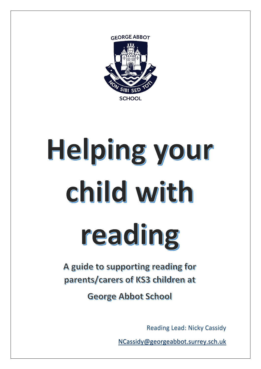

## Helping your child with reading

A guide to supporting reading for parents/carers of KS3 children at

**George Abbot School** 

Reading Lead: Nicky Cassidy

[NCassidy@georgeabbot.surrey.sch.uk](mailto:NCassidy@georgeabbot.surrey.sch.uk)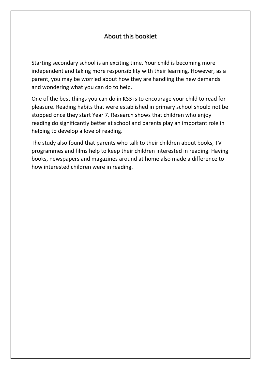## About this booklet

Starting secondary school is an exciting time. Your child is becoming more independent and taking more responsibility with their learning. However, as a parent, you may be worried about how they are handling the new demands and wondering what you can do to help.

One of the best things you can do in KS3 is to encourage your child to read for pleasure. Reading habits that were established in primary school should not be stopped once they start Year 7. Research shows that children who enjoy reading do significantly better at school and parents play an important role in helping to develop a love of reading.

The study also found that parents who talk to their children about books, TV programmes and films help to keep their children interested in reading. Having books, newspapers and magazines around at home also made a difference to how interested children were in reading.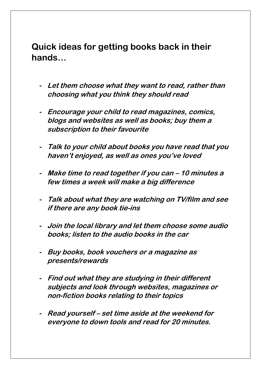**Quick ideas for getting books back in their hands…**

- **- Let them choose what they want to read, rather than choosing what you think they should read**
- **- Encourage your child to read magazines, comics, blogs and websites as well as books; buy them a subscription to their favourite**
- **- Talk to your child about books you have read that you haven't enjoyed, as well as ones you've loved**
- **- Make time to read together if you can – 10 minutes a few times a week will make a big difference**
- **- Talk about what they are watching on TV/film and see if there are any book tie-ins**
- **- Join the local library and let them choose some audio books; listen to the audio books in the car**
- **- Buy books, book vouchers or a magazine as presents/rewards**
- **- Find out what they are studying in their different subjects and look through websites, magazines or non-fiction books relating to their topics**
- **- Read yourself – set time aside at the weekend for everyone to down tools and read for 20 minutes.**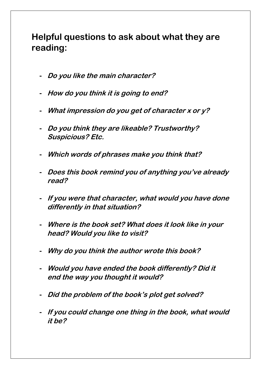## **Helpful questions to ask about what they are reading:**

- **- Do you like the main character?**
- **- How do you think it is going to end?**
- **- What impression do you get of character x or y?**
- **- Do you think they are likeable? Trustworthy? Suspicious? Etc.**
- **- Which words of phrases make you think that?**
- **- Does this book remind you of anything you've already read?**
- **- If you were that character, what would you have done differently in that situation?**
- **- Where is the book set? What does it look like in your head? Would you like to visit?**
- **- Why do you think the author wrote this book?**
- **- Would you have ended the book differently? Did it end the way you thought it would?**
- **- Did the problem of the book's plot get solved?**
- **- If you could change one thing in the book, what would it be?**